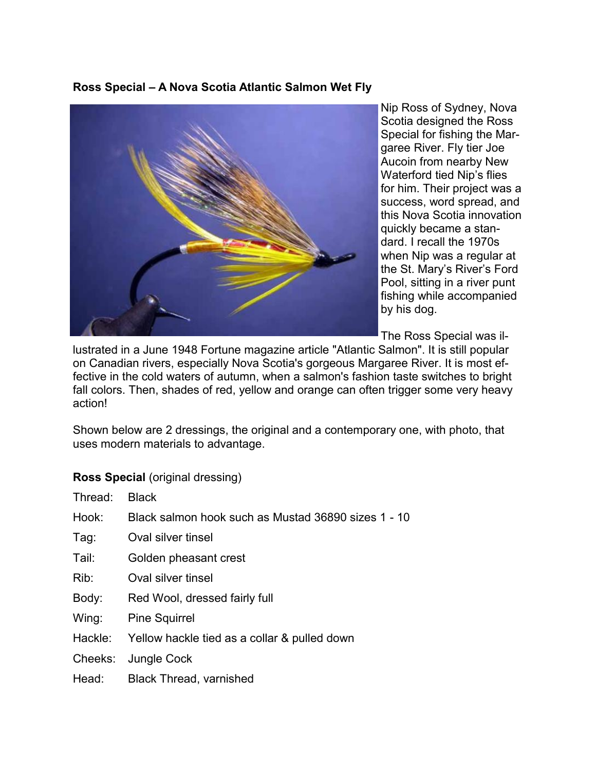**Ross Special – A Nova Scotia Atlantic Salmon Wet Fly** 



Nip Ross of Sydney, Nova Scotia designed the Ross Special for fishing the Margaree River. Fly tier Joe Aucoin from nearby New Waterford tied Nip's flies for him. Their project was a success, word spread, and this Nova Scotia innovation quickly became a standard. I recall the 1970s when Nip was a regular at the St. Mary's River's Ford Pool, sitting in a river punt fishing while accompanied by his dog.

The Ross Special was il-

lustrated in a June 1948 Fortune magazine article "Atlantic Salmon". It is still popular on Canadian rivers, especially Nova Scotia's gorgeous Margaree River. It is most effective in the cold waters of autumn, when a salmon's fashion taste switches to bright fall colors. Then, shades of red, yellow and orange can often trigger some very heavy action!

Shown below are 2 dressings, the original and a contemporary one, with photo, that uses modern materials to advantage.

## **Ross Special** (original dressing)

| Thread: | <b>Black</b>                                         |
|---------|------------------------------------------------------|
| Hook:   | Black salmon hook such as Mustad 36890 sizes 1 - 10  |
| Tag:    | Oval silver tinsel                                   |
| Tail:   | Golden pheasant crest                                |
| Rib:    | Oval silver tinsel                                   |
| Body:   | Red Wool, dressed fairly full                        |
| Wing:   | <b>Pine Squirrel</b>                                 |
|         | Hackle: Yellow hackle tied as a collar & pulled down |
| Cheeks: | Jungle Cock                                          |
| Head:   | <b>Black Thread, varnished</b>                       |
|         |                                                      |